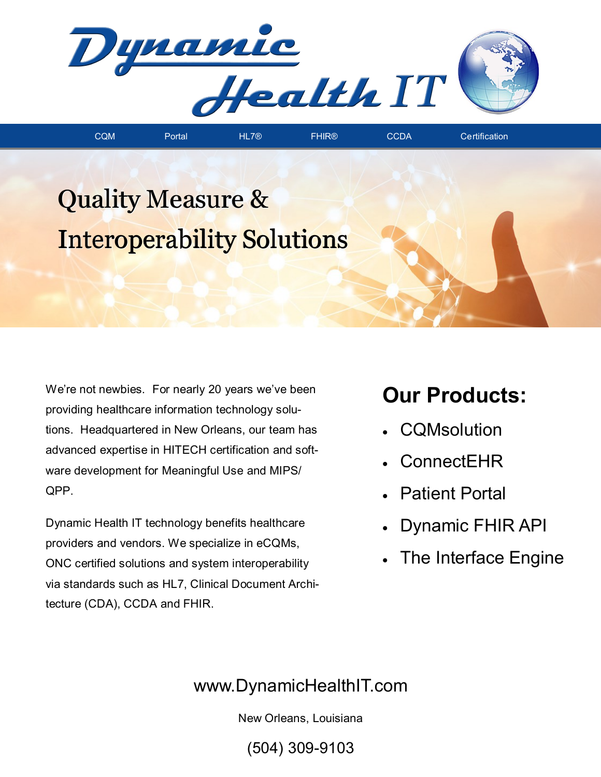

## Quality Measure & Interoperability Solutions

We're not newbies. For nearly 20 years we've been providing healthcare information technology solutions. Headquartered in New Orleans, our team has advanced expertise in HITECH certification and software development for Meaningful Use and MIPS/ QPP.

Dynamic Health IT technology benefits healthcare providers and vendors. We specialize in eCQMs, ONC certified solutions and system interoperability via standards such as HL7, Clinical Document Architecture (CDA), CCDA and FHIR.

## **Our Products:**

- **CQMsolution**
- ConnectEHR
- Patient Portal
- Dynamic FHIR API
- The Interface Engine

## www.DynamicHealthIT.com

New Orleans, Louisiana

(504) 309-9103